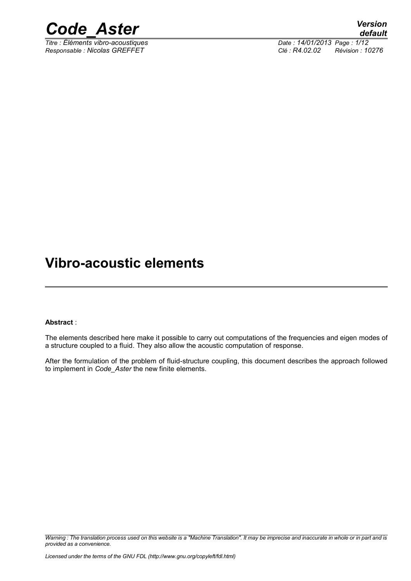

*Titre : Éléments vibro-acoustiques Date : 14/01/2013 Page : 1/12 Responsable : Nicolas GREFFET Clé : R4.02.02 Révision : 10276*

### **Vibro-acoustic elements**

### **Abstract** :

The elements described here make it possible to carry out computations of the frequencies and eigen modes of a structure coupled to a fluid. They also allow the acoustic computation of response.

After the formulation of the problem of fluid-structure coupling, this document describes the approach followed to implement in *Code\_Aster* the new finite elements.

*Warning : The translation process used on this website is a "Machine Translation". It may be imprecise and inaccurate in whole or in part and is provided as a convenience.*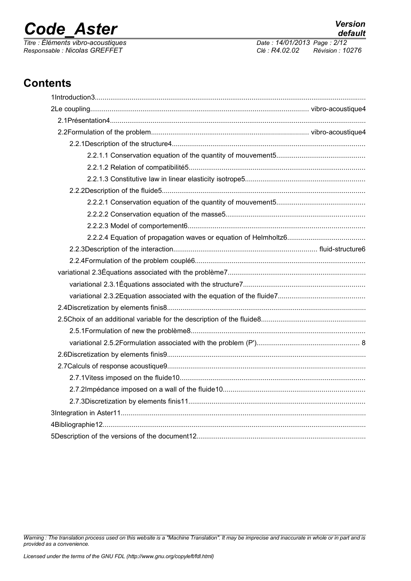*Responsable : Nicolas GREFFET Clé : R4.02.02 Révision : 10276*

*default Titre : Éléments vibro-acoustiques Date : 14/01/2013 Page : 2/12*

### **Contents**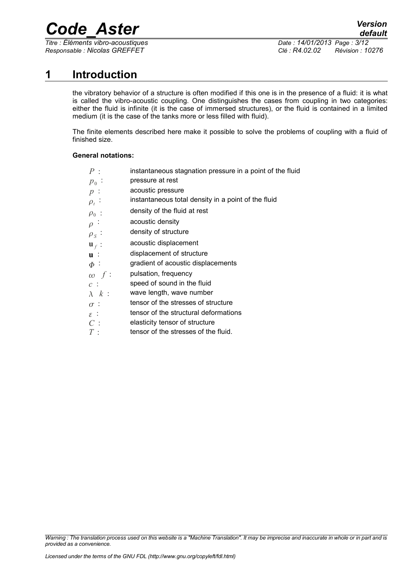*Titre : Éléments vibro-acoustiques Date : 14/01/2013 Page : 3/12*

*Responsable : Nicolas GREFFET Clé : R4.02.02 Révision : 10276*

### **1 Introduction**

the vibratory behavior of a structure is often modified if this one is in the presence of a fluid: it is what is called the vibro-acoustic coupling. One distinguishes the cases from coupling in two categories: either the fluid is infinite (it is the case of immersed structures), or the fluid is contained in a limited medium (it is the case of the tanks more or less filled with fluid).

The finite elements described here make it possible to solve the problems of coupling with a fluid of finished size.

### **General notations:**

| $P$ :            | instantaneous stagnation pressure in a point of the fluid |
|------------------|-----------------------------------------------------------|
| $p_{0}$ :        | pressure at rest                                          |
| $p$ :            | acoustic pressure                                         |
| $\rho_t$ :       | instantaneous total density in a point of the fluid       |
| $\rho_0$ :       | density of the fluid at rest                              |
| $\rho$           | acoustic density                                          |
| $\rho_S$ .       | density of structure                                      |
| $\mathbf{u}_f$ : | acoustic displacement                                     |
| $\mathbf{u}$ :   | displacement of structure                                 |
| $\Phi$ :         | gradient of acoustic displacements                        |
| $\omega f$ :     | pulsation, frequency                                      |
| $c$ :            | speed of sound in the fluid                               |
| $\lambda$ $k$    | wave length, wave number                                  |
| $\sigma$ :       | tensor of the stresses of structure                       |
| $\varepsilon$ :  | tensor of the structural deformations                     |
| C:               | elasticity tensor of structure                            |
| $T$ :            | tensor of the stresses of the fluid.                      |
|                  |                                                           |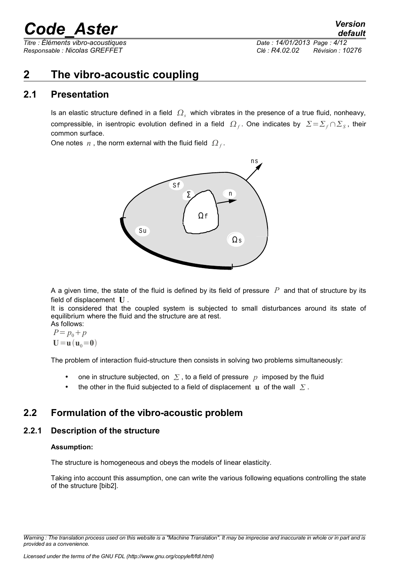*Responsable : Nicolas GREFFET Clé : R4.02.02 Révision : 10276*

### **2 The vibro-acoustic coupling**

### **2.1 Presentation**

Is an elastic structure defined in a field  $\ket{\Omega_s}$  which vibrates in the presence of a true fluid, nonheavy, compressible, in isentropic evolution defined in a field  $\Omega_f$ . One indicates by  $\sum = \sum_f \cap \sum_S$ , their common surface.

One notes  $n$  , the norm external with the fluid field  $\Omega_f$ .



A a given time, the state of the fluid is defined by its field of pressure *P* and that of structure by its field of displacement **U** .

It is considered that the coupled system is subjected to small disturbances around its state of equilibrium where the fluid and the structure are at rest.

As follows:  $P = p_0 + p$  $U = u$  $(u_0 = 0)$ 

The problem of interaction fluid-structure then consists in solving two problems simultaneously:

- one in structure subjected, on  $\Sigma$ , to a field of pressure p imposed by the fluid
- the other in the fluid subjected to a field of displacement **u** of the wall  $\Sigma$ .

### **2.2 Formulation of the vibro-acoustic problem**

### **2.2.1 Description of the structure**

#### **Assumption:**

The structure is homogeneous and obeys the models of linear elasticity.

Taking into account this assumption, one can write the various following equations controlling the state of the structure [bib2].

*Warning : The translation process used on this website is a "Machine Translation". It may be imprecise and inaccurate in whole or in part and is provided as a convenience.*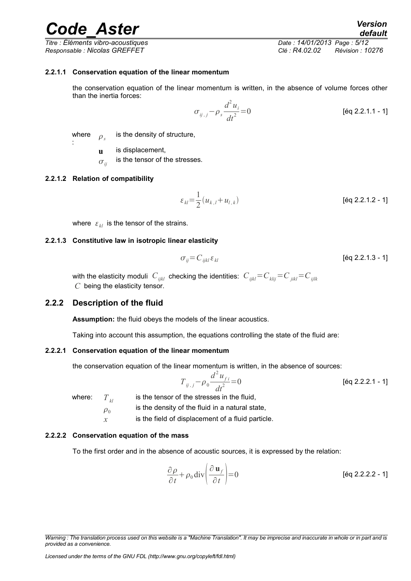*Titre : Éléments vibro-acoustiques Date : 14/01/2013 Page : 5/12 Responsable : Nicolas GREFFET Clé : R4.02.02 Révision : 10276*

### **2.2.1.1 Conservation equation of the linear momentum**

the conservation equation of the linear momentum is written, in the absence of volume forces other than the inertia forces:

$$
\sigma_{ij,j} - \rho_s \frac{d^2 u_i}{dt^2} = 0
$$
 [éq 2.2.1.1 - 1]

where  $\rho<sub>s</sub>$ is the density of structure,

**u** is displacement,

 $\sigma_{ii}$ is the tensor of the stresses.

#### **2.2.1.2 Relation of compatibility**

:

$$
\varepsilon_{kl} = \frac{1}{2} (u_{k,l} + u_{l,k})
$$
 [éq 2.2.1.2 - 1]

where  $\varepsilon_{kl}$  is the tensor of the strains.

#### **2.2.1.3 Constitutive law in isotropic linear elasticity**

$$
\sigma_{ij} = C_{ijkl} \varepsilon_{kl} \tag{6q 2.2.1.3 - 1}
$$

with the elasticity moduli  $C_{ijkl}$  checking the identities:  $C_{ijkl} = C_{klij} = C_{jikl} = C_{jilk}$ *C* being the elasticity tensor.

### **2.2.2 Description of the fluid**

**Assumption:** the fluid obeys the models of the linear acoustics.

Taking into account this assumption, the equations controlling the state of the fluid are:

#### **2.2.2.1 Conservation equation of the linear momentum**

the conservation equation of the linear momentum is written, in the absence of sources:

$$
T_{ij,j} - \rho_0 \frac{d^2 u_{fi}}{dt^2} = 0
$$
 [éq 2.2.2.1 - 1]

where:  $T_{kl}$  is the tensor of the stresses in the fluid,

 $\rho_0$ is the density of the fluid in a natural state,

*x* is the field of displacement of a fluid particle.

#### **2.2.2.2 Conservation equation of the mass**

To the first order and in the absence of acoustic sources, it is expressed by the relation:

$$
\frac{\partial \rho}{\partial t} + \rho_0 \operatorname{div} \left( \frac{\partial \mathbf{u}_f}{\partial t} \right) = 0
$$
 [6q 2.2.2.2 - 1]

*Warning : The translation process used on this website is a "Machine Translation". It may be imprecise and inaccurate in whole or in part and is provided as a convenience.*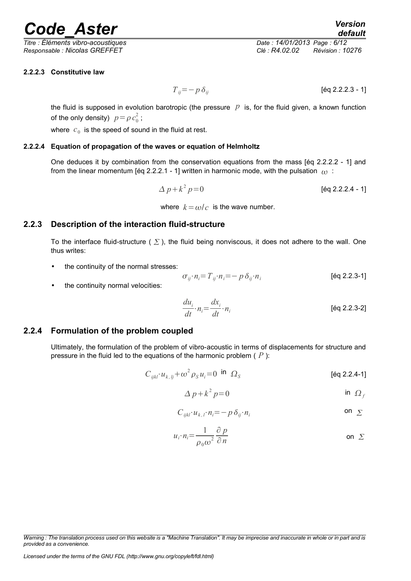*Titre : Éléments vibro-acoustiques Date : 14/01/2013 Page : 6/12 Responsable : Nicolas GREFFET Clé : R4.02.02 Révision : 10276*

### **2.2.2.3 Constitutive law**

*T*<sub>*ij*</sub>=−*pδ<sub>ij</sub>* [éq 2.2.2.3 - 1]

the fluid is supposed in evolution barotropic (the pressure  $p$  is, for the fluid given, a known function of the only density)  $p = \rho c_0^2$ ;

where  $|c_0|$  is the speed of sound in the fluid at rest.

### **2.2.2.4 Equation of propagation of the waves or equation of Helmholtz**

One deduces it by combination from the conservation equations from the mass [éq 2.2.2.2 - 1] and from the linear momentum [éq 2.2.2.1 - 1] written in harmonic mode, with the pulsation  $\omega$ :

> $\Delta p + k^2$ *p*=0 [éq 2.2.2.4 - 1]

where  $k = \omega/c$  is the wave number.

### **2.2.3 Description of the interaction fluid-structure**

To the interface fluid-structure ( $\Sigma$ ), the fluid being nonviscous, it does not adhere to the wall. One thus writes:

• the continuity of the normal stresses:

the continuity normal velocities:

$$
\sigma_{ij} \cdot n_i = T_{ij} \cdot n_i = -p \, \delta_{ij} \cdot n_i \tag{6q 2.2.3-1}
$$

$$
\frac{du_i}{dt} \cdot n_i = \frac{dx_i}{dt} \cdot n_i
$$
 [éq 2.2.3-2]

### **2.2.4 Formulation of the problem coupled**

Ultimately, the formulation of the problem of vibro-acoustic in terms of displacements for structure and pressure in the fluid led to the equations of the harmonic problem ( *P* ):

$$
C_{ijkl} \cdot u_{k,ij} + \omega^2 \rho_s u_i = 0 \quad \text{in} \quad \Omega_s \tag{6q 2.2.4-1}
$$

$$
\Delta p + k^2 p = 0 \qquad \qquad \text{in } \Omega_f
$$

$$
C_{ijkl} \cdot u_{k,l} \cdot n_i = -p \, \delta_{ij} \cdot n_i \tag{on } \Sigma
$$

$$
u_i \cdot n_i = \frac{1}{\rho_0 \omega^2} \frac{\partial p}{\partial n}
$$
 on  $\Sigma$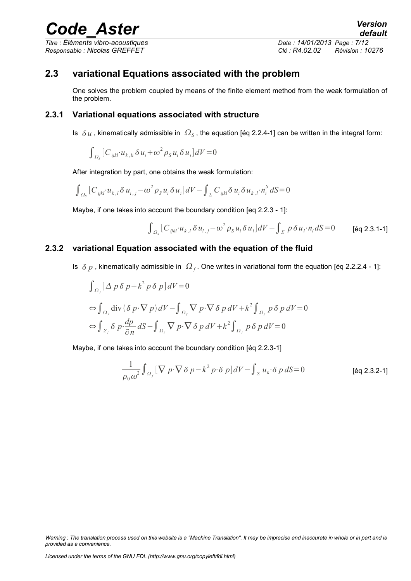### *Titre : Éléments vibro-acoustiques Date : 14/01/2013 Page : 7/12 Responsable : Nicolas GREFFET Clé : R4.02.02 Révision : 10276*

### **2.3 variational Equations associated with the problem**

One solves the problem coupled by means of the finite element method from the weak formulation of the problem.

### **2.3.1 Variational equations associated with structure**

Is  $|\delta u|$ , kinematically admissible in  $|\Omega_S|$ , the equation [éq 2.2.4-1] can be written in the integral form:

$$
\int_{\Omega_{\rm S}} \left[ C_{ijkl} \cdot u_{k,li} \delta u_i + \omega^2 \rho_{\rm S} u_i \delta u_i \right] dV = 0
$$

After integration by part, one obtains the weak formulation:

$$
\int_{\Omega_{\mathcal{S}}}\left[C_{ijkl}u_{k,l}\delta u_{i,j}-\omega^{2}\rho_{\mathcal{S}}u_{i}\delta u_{i}\right]dV-\int_{\Sigma}C_{ijkl}\delta u_{i}\delta u_{k,l}\cdot n_{i}^{\mathcal{S}}dS=0
$$

Maybe, if one takes into account the boundary condition [eq 2.2.3 - 1]:

$$
\int_{\Omega_{\mathcal{S}}}\left[C_{ijkl}\cdot u_{k,l}\delta u_{i,j}-\omega^{2}\rho_{\mathcal{S}}u_{i}\delta u_{i}\right]dV-\int_{\Sigma}p\delta u_{i}\cdot n_{i}dS=0\qquad\text{[\'eq 2.3.1-1]}
$$

### **2.3.2 variational Equation associated with the equation of the fluid**

Is  $\delta p$  , kinematically admissible in  $\Omega_f$ . One writes in variational form the equation [éq 2.2.2.4 - 1]:

$$
\int_{\Omega_f} \left[ \Delta p \, \delta p + k^2 p \, \delta p \right] dV = 0
$$
  
\n
$$
\Leftrightarrow \int_{\Omega_f} \text{div} \left( \delta p \cdot \nabla p \right) dV - \int_{\Omega_f} \nabla p \cdot \nabla \delta p \, dV + k^2 \int_{\Omega_f} p \, \delta p \, dV = 0
$$
  
\n
$$
\Leftrightarrow \int_{\Sigma_f} \delta p \cdot \frac{dp}{\partial n} dS - \int_{\Omega_f} \nabla p \cdot \nabla \delta p \, dV + k^2 \int_{\Omega_f} p \, \delta p \, dV = 0
$$

Maybe, if one takes into account the boundary condition [éq 2.2.3-1]

$$
\frac{1}{\rho_0 \omega^2} \int_{\Omega_f} [\nabla p \cdot \nabla \delta p - k^2 p \cdot \delta p] dV - \int_{\Sigma} u_n \cdot \delta p dS = 0
$$
 [éq 2.3.2-1]

*Warning : The translation process used on this website is a "Machine Translation". It may be imprecise and inaccurate in whole or in part and is provided as a convenience.*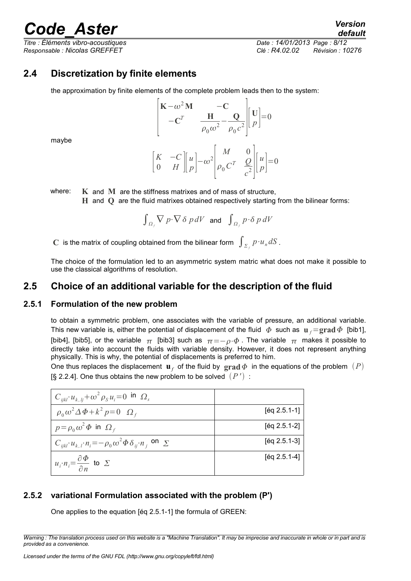*Responsable : Nicolas GREFFET Clé : R4.02.02 Révision : 10276*

*default Titre : Éléments vibro-acoustiques Date : 14/01/2013 Page : 8/12*

### **2.4 Discretization by finite elements**

the approximation by finite elements of the complete problem leads then to the system:

$$
\begin{bmatrix}\n\mathbf{K} - \omega^2 \mathbf{M} & -\mathbf{C} \\
-\mathbf{C}^T & \frac{\mathbf{H}}{\rho_0 \omega^2} - \frac{\mathbf{Q}}{\rho_0 c^2}\n\end{bmatrix}\n\begin{bmatrix}\n\mathbf{U} \\
p\n\end{bmatrix} = 0
$$

maybe

$$
\begin{bmatrix} K & -C \ 0 & H \end{bmatrix} \begin{bmatrix} u \\ p \end{bmatrix} - \omega^2 \begin{bmatrix} M & 0 \\ \rho_0 C^T & \frac{Q}{c^2} \end{bmatrix} \begin{bmatrix} u \\ p \end{bmatrix} = 0
$$

where: **K** and **M** are the stiffness matrixes and of mass of structure,

**H** and **Q** are the fluid matrixes obtained respectively starting from the bilinear forms:

$$
\int_{\Omega_f} \nabla p \cdot \nabla \delta p dV \text{ and } \int_{\Omega_f} p \cdot \delta p dV
$$

 $\mathbf C$  is the matrix of coupling obtained from the bilinear form  $\int_{{\mathcal Z}_f} p {\cdot} u_n dS$  .

The choice of the formulation led to an asymmetric system matric what does not make it possible to use the classical algorithms of resolution.

### **2.5 Choice of an additional variable for the description of the fluid**

### **2.5.1 Formulation of the new problem**

to obtain a symmetric problem, one associates with the variable of pressure, an additional variable. This new variable is, either the potential of displacement of the fluid  $\phi$  such as  $\mathbf{u}_f = \mathbf{grad} \, \phi$  [bib1], [bib4], [bib5], or the variable  $\pi$  [bib3] such as  $\pi = -\rho \cdot \phi$ . The variable  $\pi$  makes it possible to directly take into account the fluids with variable density. However, it does not represent anything physically. This is why, the potential of displacements is preferred to him.

One thus replaces the displacement  $\mathbf{u}_f$  of the fluid by  $\mathbf{grad}\,\Phi$  in the equations of the problem  $(P)$ [§ 2.2.4]. One thus obtains the new problem to be solved  $(P')$ :

| $C_{ijkl} u_{k,li} + \omega^2 \rho_s u_i = 0$ in $\Omega_s$                                      |                |
|--------------------------------------------------------------------------------------------------|----------------|
| $\rho_0 \omega^2 \Delta \Phi + k^2 p = 0 \Omega_f$                                               | $[Eq 2.5.1-1]$ |
| $p = \rho_0 \omega^2 \Phi$ in $\Omega_f$                                                         | $[Eq 2.5.1-2]$ |
| $C_{ijkl}$ $\cdot u_{k,l}$ $\cdot n_i = -\rho_0 \omega^2 \Phi \delta_{ij} \cdot n_i$ on $\Sigma$ | $[Eq 2.5.1-3]$ |
| $u_i \cdot n_i = \frac{\partial \Phi}{\partial n}$ to $\Sigma$                                   | $[Eq 2.5.1-4]$ |

### **2.5.2 variational Formulation associated with the problem (P')**

One applies to the equation [éq 2.5.1-1] the formula of GREEN: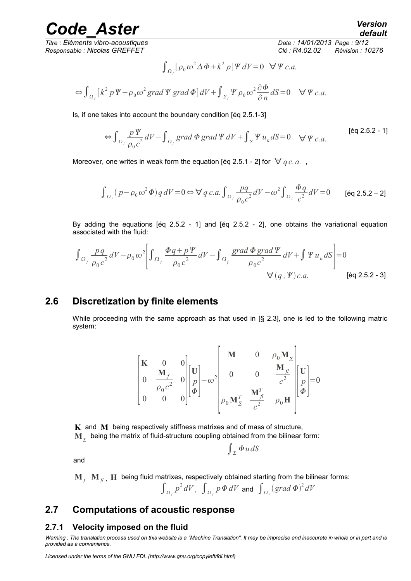*Titre : Éléments vibro-acoustiques Date : 14/01/2013 Page : 9/12 Responsable : Nicolas GREFFET Clé : R4.02.02 Révision : 10276*

$$
\int_{\Omega_f} \left[ \rho_0 \omega^2 \Delta \Phi + k^2 p \right] \Psi \, dV = 0 \quad \forall \Psi \, c.a.
$$

$$
\Leftrightarrow \int_{\Omega_f} \left[ k^2 p \, \Psi - \rho_0 \omega^2 \, \text{grad} \, \Psi \, \text{grad} \, \Phi \right] dV + \int_{\Sigma_f} \Psi \, \rho_0 \, \omega^2 \frac{\partial \Phi}{\partial n} dS = 0 \quad \forall \, \Psi \, c.a.
$$

Is, if one takes into account the boundary condition [éq 2.5.1-3]

$$
\Leftrightarrow \int_{\Omega_f} \frac{p \Psi}{\rho_0 c^2} dV - \int_{\Omega_f} grad \Phi grad \Psi dV + \int_{\Sigma} \Psi u_n dS = 0 \quad \forall \Psi c.a.
$$
 [éq 2.5.2 - 1]

Moreover, one writes in weak form the equation [éq 2.5.1 - 2] for  $\forall$  *q c. a.*,

$$
\int_{\Omega_f} (p - \rho_0 \omega^2 \Phi) q \, dV = 0 \Leftrightarrow \forall q \, c.a. \int_{\Omega_f} \frac{pq}{\rho_0 c^2} dV - \omega^2 \int_{\Omega_f} \frac{\Phi q}{c^2} dV = 0 \qquad \text{[Eq 2.5.2-2]}
$$

By adding the equations [éq 2.5.2 - 1] and [éq 2.5.2 - 2], one obtains the variational equation associated with the fluid:

$$
\int_{\Omega_f} \frac{pq}{\rho_0 c^2} dV - \rho_0 \omega^2 \left[ \int_{\Omega_f} \frac{\Phi q + p \Psi}{\rho_0 c^2} dV - \int_{\Omega_f} \frac{\text{grad } \Phi \text{ grad } \Psi}{\rho_0 c^2} dV + \int \Psi u_n dS \right] = 0
$$
  
 
$$
\forall (q, \Psi) c.a. \qquad \text{[éq 2.5.2 - 3]}
$$

### **2.6 Discretization by finite elements**

While proceeding with the same approach as that used in [§ 2.3], one is led to the following matric system:

$$
\begin{bmatrix} \mathbf{K} & 0 & 0 \\ 0 & \frac{\mathbf{M}_f}{\rho_0 c^2} & 0 \\ 0 & 0 & 0 \end{bmatrix} \begin{bmatrix} \mathbf{U} \\ p \\ \Phi \end{bmatrix} - \omega^2 \begin{bmatrix} \mathbf{M} & 0 & \rho_0 \mathbf{M}_z \\ 0 & 0 & \frac{\mathbf{M}_f}{c^2} \\ 0 & \frac{\mathbf{M}_f^T}{c^2} & \rho_0 \mathbf{H} \end{bmatrix} \begin{bmatrix} \mathbf{U} \\ p \\ \Phi \end{bmatrix} = 0
$$

 $\int_{\Sigma} \Phi u dS$ 

**K** and **M** being respectively stiffness matrixes and of mass of structure,  $\textbf{M}_\varSigma^{\!\top}$  being the matrix of fluid-structure coupling obtained from the bilinear form:

and

 $\mathbf{M}_f^{\top} \mathbf{M}_{fl}^{\top}$  H being fluid matrixes, respectively obtained starting from the bilinear forms:  $\int_{\Omega_f} p^2 dV$ ,  $\int_{\Omega_f} p \Phi dV$  and  $\int_{\Omega_f} (grad \Phi)^2 dV$ 

### **2.7 Computations of acoustic response**

### **2.7.1 Velocity imposed on the fluid**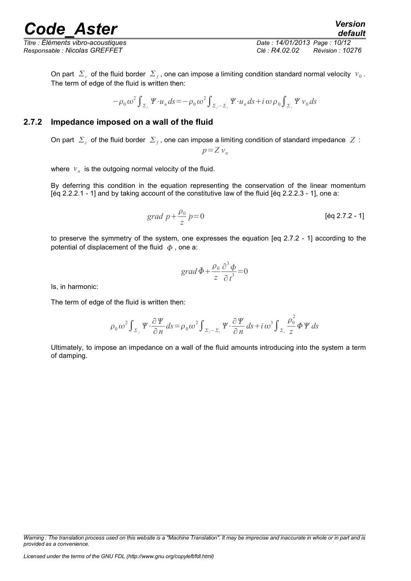*Titre : Éléments vibro-acoustiques Date : 14/01/2013 Page : 10/12*

*Responsable : Nicolas GREFFET Clé : R4.02.02 Révision : 10276*

On part  $|\Sigma_{\nu}|$  of the fluid border  $|\Sigma_{f}$ , one can impose a limiting condition standard normal velocity  $|v_{0}|$ . The term of edge of the fluid is written then:

$$
-\rho_0 \omega^2 \int_{\Sigma_f} \Psi \cdot u_n ds = -\rho_0 \omega^2 \int_{\Sigma_f - \Sigma_g} \Psi \cdot u_n ds + i \omega \rho_0 \int_{\Sigma_g} \Psi \, v_0 ds
$$

### **2.7.2 Impedance imposed on a wall of the fluid**

On part  $|\Sigma_z|$  of the fluid border  $|\Sigma_f|$ , one can impose a limiting condition of standard impedance  $|Z|$ :

$$
p = Z v_n
$$

where  $v_n$  is the outgoing normal velocity of the fluid.

By deferring this condition in the equation representing the conservation of the linear momentum [éq 2.2.2.1 - 1] and by taking account of the constitutive law of the fluid [éq 2.2.2.3 - 1], one a:

$$
grad\ p + \frac{\rho_0}{z}\ p = 0
$$
 [eq 2.7.2 - 1]

to preserve the symmetry of the system, one expresses the equation [eq 2.7.2 - 1] according to the potential of displacement of the fluid  $\phi$ , one a:

$$
grad \ddot{\Phi} + \frac{\rho_0}{z} \frac{\partial^3 \phi}{\partial t^3} = 0
$$

Is, in harmonic:

The term of edge of the fluid is written then:

$$
\rho_0 \omega^2 \int_{\Sigma_f} \Psi \cdot \frac{\partial \Psi}{\partial n} ds = \rho_0 \omega^2 \int_{\Sigma_f - \Sigma_z} \Psi \cdot \frac{\partial \Psi}{\partial n} ds + i \omega^3 \int_{\Sigma_z} \frac{\rho_0^2}{z} \Phi \Psi ds
$$

Ultimately, to impose an impedance on a wall of the fluid amounts introducing into the system a term of damping.

*Warning : The translation process used on this website is a "Machine Translation". It may be imprecise and inaccurate in whole or in part and is provided as a convenience.*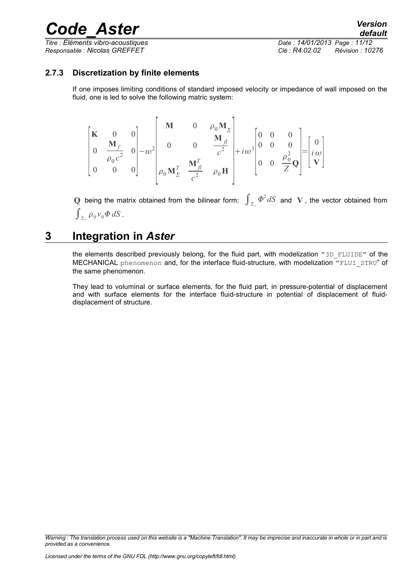*Titre : Éléments vibro-acoustiques Date : 14/01/2013 Page : 11/12*

*Responsable : Nicolas GREFFET Clé : R4.02.02 Révision : 10276*

### **2.7.3 Discretization by finite elements**

If one imposes limiting conditions of standard imposed velocity or impedance of wall imposed on the fluid, one is led to solve the following matric system:

$$
\begin{bmatrix} \mathbf{K} & 0 & 0 \\ 0 & \frac{\mathbf{M}_f}{\rho_0 c^2} & 0 \\ 0 & 0 & 0 \end{bmatrix} - \omega^2 \begin{bmatrix} \mathbf{M} & 0 & \rho_0 \mathbf{M}_z \\ 0 & 0 & \frac{\mathbf{M}_f}{c^2} \\ \rho_0 \mathbf{M}_z^T & \frac{\mathbf{M}_f^T}{c^2} & \rho_0 \mathbf{H} \end{bmatrix} + i\omega^3 \begin{bmatrix} 0 & 0 & 0 \\ 0 & 0 & 0 \\ 0 & 0 & \frac{\rho_0^2}{Z} \mathbf{Q} \end{bmatrix} = \begin{bmatrix} 0 \\ i\omega \\ \mathbf{V} \end{bmatrix}
$$

Q being the matrix obtained from the bilinear form:  $\int_{\Sigma_z} \Phi^2 dS$  and V, the vector obtained from  $\int_{\Sigma_{\nu}} \rho_0 v_0 \Phi dS$ .

### **3 Integration in** *Aster*

the elements described previously belong, for the fluid part, with modelization "3D\_FLUIDE" of the MECHANICAL phenomenon and, for the interface fluid-structure, with modelization "FLUI\_STRU" of the same phenomenon.

They lead to voluminal or surface elements, for the fluid part, in pressure-potential of displacement and with surface elements for the interface fluid-structure in potential of displacement of fluiddisplacement of structure.

*Warning : The translation process used on this website is a "Machine Translation". It may be imprecise and inaccurate in whole or in part and is provided as a convenience.*